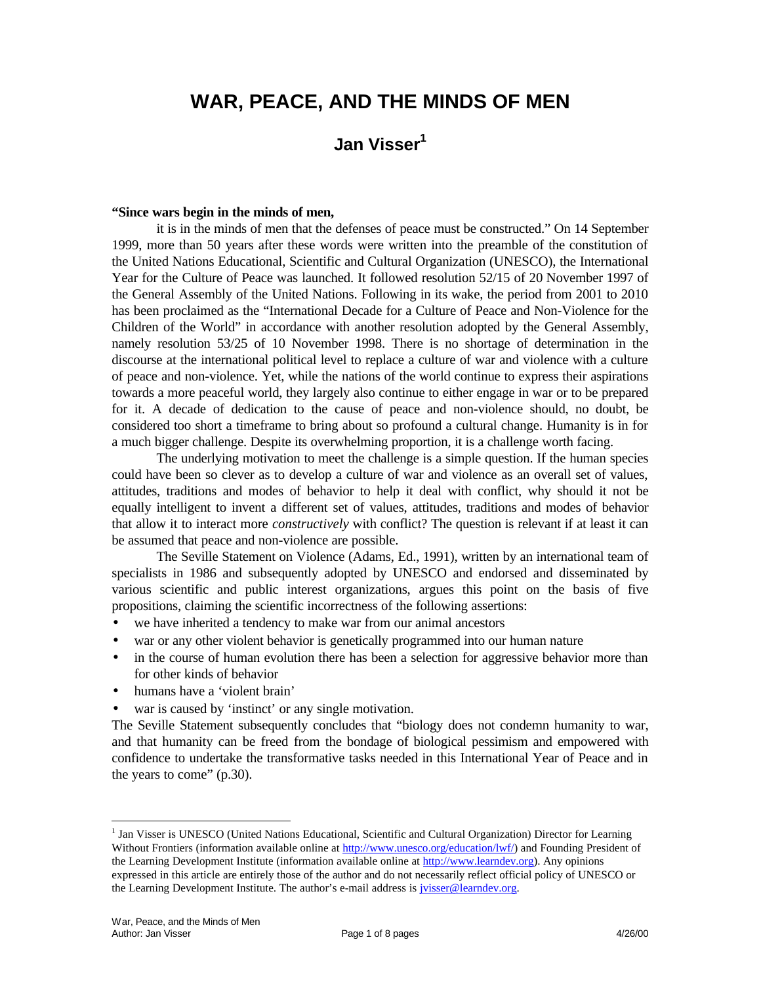# **WAR, PEACE, AND THE MINDS OF MEN**

# **Jan Visser<sup>1</sup>**

#### **"Since wars begin in the minds of men,**

it is in the minds of men that the defenses of peace must be constructed." On 14 September 1999, more than 50 years after these words were written into the preamble of the constitution of the United Nations Educational, Scientific and Cultural Organization (UNESCO), the International Year for the Culture of Peace was launched. It followed resolution 52/15 of 20 November 1997 of the General Assembly of the United Nations. Following in its wake, the period from 2001 to 2010 has been proclaimed as the "International Decade for a Culture of Peace and Non-Violence for the Children of the World" in accordance with another resolution adopted by the General Assembly, namely resolution 53/25 of 10 November 1998. There is no shortage of determination in the discourse at the international political level to replace a culture of war and violence with a culture of peace and non-violence. Yet, while the nations of the world continue to express their aspirations towards a more peaceful world, they largely also continue to either engage in war or to be prepared for it. A decade of dedication to the cause of peace and non-violence should, no doubt, be considered too short a timeframe to bring about so profound a cultural change. Humanity is in for a much bigger challenge. Despite its overwhelming proportion, it is a challenge worth facing.

The underlying motivation to meet the challenge is a simple question. If the human species could have been so clever as to develop a culture of war and violence as an overall set of values, attitudes, traditions and modes of behavior to help it deal with conflict, why should it not be equally intelligent to invent a different set of values, attitudes, traditions and modes of behavior that allow it to interact more *constructively* with conflict? The question is relevant if at least it can be assumed that peace and non-violence are possible.

The Seville Statement on Violence (Adams, Ed., 1991), written by an international team of specialists in 1986 and subsequently adopted by UNESCO and endorsed and disseminated by various scientific and public interest organizations, argues this point on the basis of five propositions, claiming the scientific incorrectness of the following assertions:

- we have inherited a tendency to make war from our animal ancestors
- war or any other violent behavior is genetically programmed into our human nature
- in the course of human evolution there has been a selection for aggressive behavior more than for other kinds of behavior
- humans have a 'violent brain'
- war is caused by 'instinct' or any single motivation.

The Seville Statement subsequently concludes that "biology does not condemn humanity to war, and that humanity can be freed from the bondage of biological pessimism and empowered with confidence to undertake the transformative tasks needed in this International Year of Peace and in the years to come" (p.30).

 $\overline{a}$ 

<sup>&</sup>lt;sup>1</sup> Jan Visser is UNESCO (United Nations Educational, Scientific and Cultural Organization) Director for Learning Without Frontiers (information available online at http://www.unesco.org/education/lwf/) and Founding President of the Learning Development Institute (information available online at http://www.learndev.org). Any opinions expressed in this article are entirely those of the author and do not necessarily reflect official policy of UNESCO or the Learning Development Institute. The author's e-mail address is *jvisser@learndev.org*.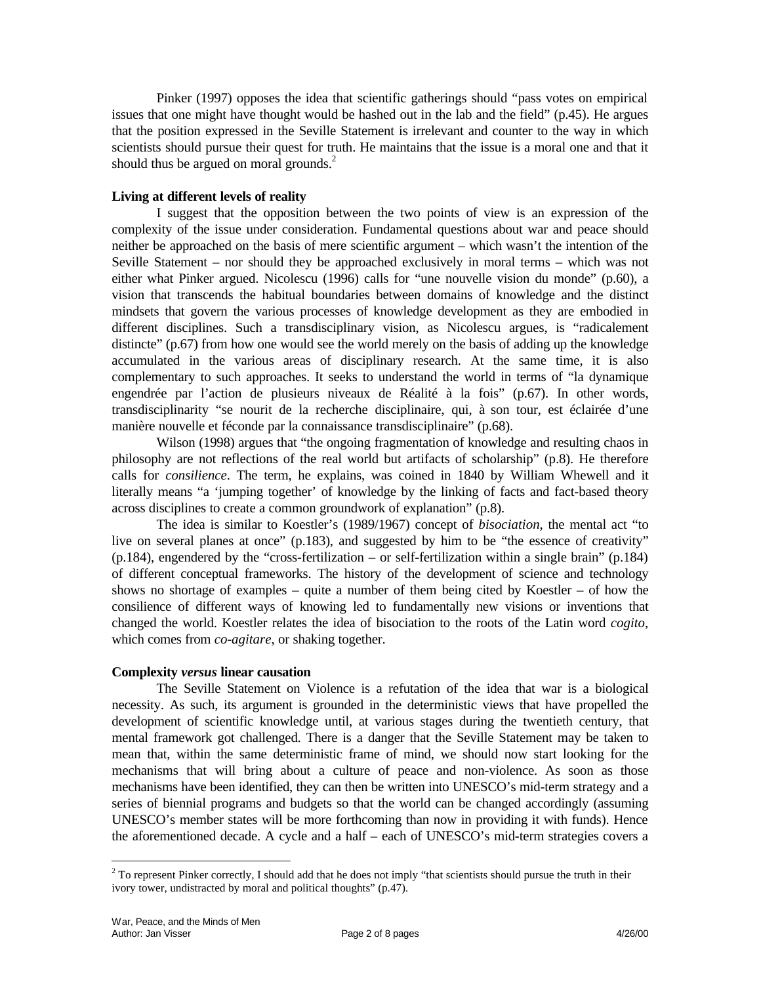Pinker (1997) opposes the idea that scientific gatherings should "pass votes on empirical issues that one might have thought would be hashed out in the lab and the field" (p.45). He argues that the position expressed in the Seville Statement is irrelevant and counter to the way in which scientists should pursue their quest for truth. He maintains that the issue is a moral one and that it should thus be argued on moral grounds.<sup>2</sup>

# **Living at different levels of reality**

I suggest that the opposition between the two points of view is an expression of the complexity of the issue under consideration. Fundamental questions about war and peace should neither be approached on the basis of mere scientific argument – which wasn't the intention of the Seville Statement – nor should they be approached exclusively in moral terms – which was not either what Pinker argued. Nicolescu (1996) calls for "une nouvelle vision du monde" (p.60), a vision that transcends the habitual boundaries between domains of knowledge and the distinct mindsets that govern the various processes of knowledge development as they are embodied in different disciplines. Such a transdisciplinary vision, as Nicolescu argues, is "radicalement distincte" (p.67) from how one would see the world merely on the basis of adding up the knowledge accumulated in the various areas of disciplinary research. At the same time, it is also complementary to such approaches. It seeks to understand the world in terms of "la dynamique engendrée par l'action de plusieurs niveaux de Réalité à la fois" (p.67). In other words, transdisciplinarity "se nourit de la recherche disciplinaire, qui, à son tour, est éclairée d'une manière nouvelle et féconde par la connaissance transdisciplinaire" (p.68).

Wilson (1998) argues that "the ongoing fragmentation of knowledge and resulting chaos in philosophy are not reflections of the real world but artifacts of scholarship" (p.8). He therefore calls for *consilience*. The term, he explains, was coined in 1840 by William Whewell and it literally means "a 'jumping together' of knowledge by the linking of facts and fact-based theory across disciplines to create a common groundwork of explanation" (p.8).

The idea is similar to Koestler's (1989/1967) concept of *bisociation*, the mental act "to live on several planes at once" (p.183), and suggested by him to be "the essence of creativity" (p.184), engendered by the "cross-fertilization – or self-fertilization within a single brain" (p.184) of different conceptual frameworks. The history of the development of science and technology shows no shortage of examples – quite a number of them being cited by Koestler – of how the consilience of different ways of knowing led to fundamentally new visions or inventions that changed the world. Koestler relates the idea of bisociation to the roots of the Latin word *cogito*, which comes from *co-agitare*, or shaking together.

#### **Complexity** *versus* **linear causation**

The Seville Statement on Violence is a refutation of the idea that war is a biological necessity. As such, its argument is grounded in the deterministic views that have propelled the development of scientific knowledge until, at various stages during the twentieth century, that mental framework got challenged. There is a danger that the Seville Statement may be taken to mean that, within the same deterministic frame of mind, we should now start looking for the mechanisms that will bring about a culture of peace and non-violence. As soon as those mechanisms have been identified, they can then be written into UNESCO's mid-term strategy and a series of biennial programs and budgets so that the world can be changed accordingly (assuming UNESCO's member states will be more forthcoming than now in providing it with funds). Hence the aforementioned decade. A cycle and a half – each of UNESCO's mid-term strategies covers a

<u>.</u>

<sup>&</sup>lt;sup>2</sup> To represent Pinker correctly, I should add that he does not imply "that scientists should pursue the truth in their ivory tower, undistracted by moral and political thoughts" (p.47).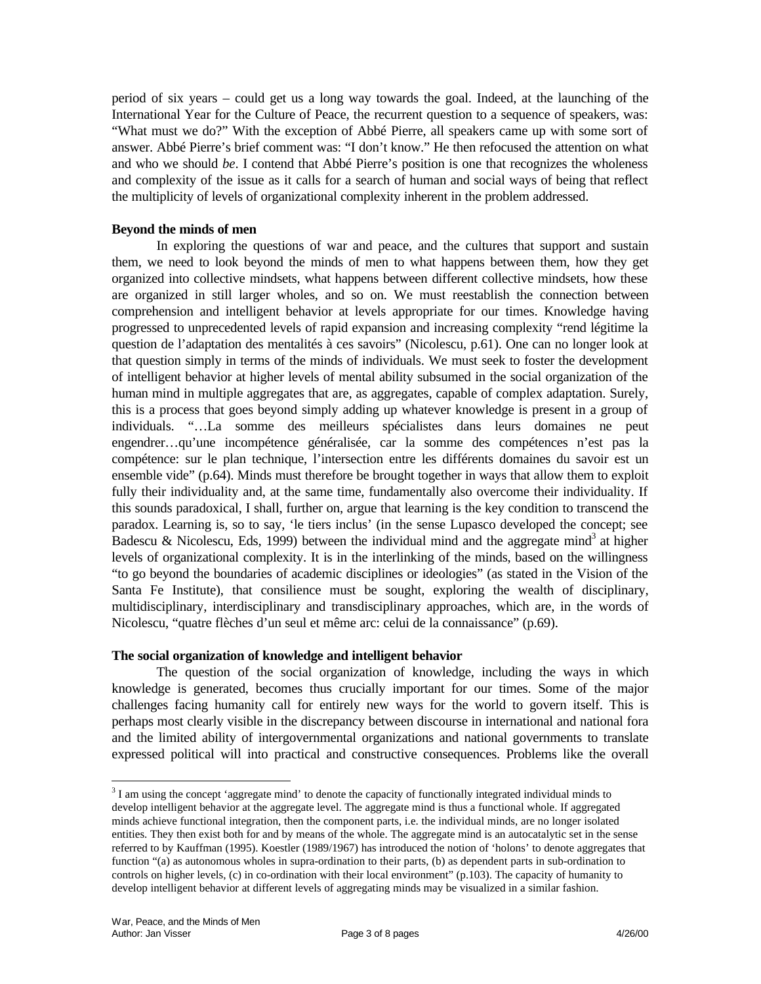period of six years – could get us a long way towards the goal. Indeed, at the launching of the International Year for the Culture of Peace, the recurrent question to a sequence of speakers, was: "What must we do?" With the exception of Abbé Pierre, all speakers came up with some sort of answer. Abbé Pierre's brief comment was: "I don't know." He then refocused the attention on what and who we should *be*. I contend that Abbé Pierre's position is one that recognizes the wholeness and complexity of the issue as it calls for a search of human and social ways of being that reflect the multiplicity of levels of organizational complexity inherent in the problem addressed.

### **Beyond the minds of men**

In exploring the questions of war and peace, and the cultures that support and sustain them, we need to look beyond the minds of men to what happens between them, how they get organized into collective mindsets, what happens between different collective mindsets, how these are organized in still larger wholes, and so on. We must reestablish the connection between comprehension and intelligent behavior at levels appropriate for our times. Knowledge having progressed to unprecedented levels of rapid expansion and increasing complexity "rend légitime la question de l'adaptation des mentalités à ces savoirs" (Nicolescu, p.61). One can no longer look at that question simply in terms of the minds of individuals. We must seek to foster the development of intelligent behavior at higher levels of mental ability subsumed in the social organization of the human mind in multiple aggregates that are, as aggregates, capable of complex adaptation. Surely, this is a process that goes beyond simply adding up whatever knowledge is present in a group of individuals. "…La somme des meilleurs spécialistes dans leurs domaines ne peut engendrer…qu'une incompétence généralisée, car la somme des compétences n'est pas la compétence: sur le plan technique, l'intersection entre les différents domaines du savoir est un ensemble vide" (p.64). Minds must therefore be brought together in ways that allow them to exploit fully their individuality and, at the same time, fundamentally also overcome their individuality. If this sounds paradoxical, I shall, further on, argue that learning is the key condition to transcend the paradox. Learning is, so to say, 'le tiers inclus' (in the sense Lupasco developed the concept; see Badescu & Nicolescu, Eds, 1999) between the individual mind and the aggregate mind<sup>3</sup> at higher levels of organizational complexity. It is in the interlinking of the minds, based on the willingness "to go beyond the boundaries of academic disciplines or ideologies" (as stated in the Vision of the Santa Fe Institute), that consilience must be sought, exploring the wealth of disciplinary, multidisciplinary, interdisciplinary and transdisciplinary approaches, which are, in the words of Nicolescu, "quatre flèches d'un seul et même arc: celui de la connaissance" (p.69).

#### **The social organization of knowledge and intelligent behavior**

The question of the social organization of knowledge, including the ways in which knowledge is generated, becomes thus crucially important for our times. Some of the major challenges facing humanity call for entirely new ways for the world to govern itself. This is perhaps most clearly visible in the discrepancy between discourse in international and national fora and the limited ability of intergovernmental organizations and national governments to translate expressed political will into practical and constructive consequences. Problems like the overall

 $\overline{a}$ 

 $3$  I am using the concept 'aggregate mind' to denote the capacity of functionally integrated individual minds to develop intelligent behavior at the aggregate level. The aggregate mind is thus a functional whole. If aggregated minds achieve functional integration, then the component parts, i.e. the individual minds, are no longer isolated entities. They then exist both for and by means of the whole. The aggregate mind is an autocatalytic set in the sense referred to by Kauffman (1995). Koestler (1989/1967) has introduced the notion of 'holons' to denote aggregates that function "(a) as autonomous wholes in supra-ordination to their parts, (b) as dependent parts in sub-ordination to controls on higher levels, (c) in co-ordination with their local environment" (p.103). The capacity of humanity to develop intelligent behavior at different levels of aggregating minds may be visualized in a similar fashion.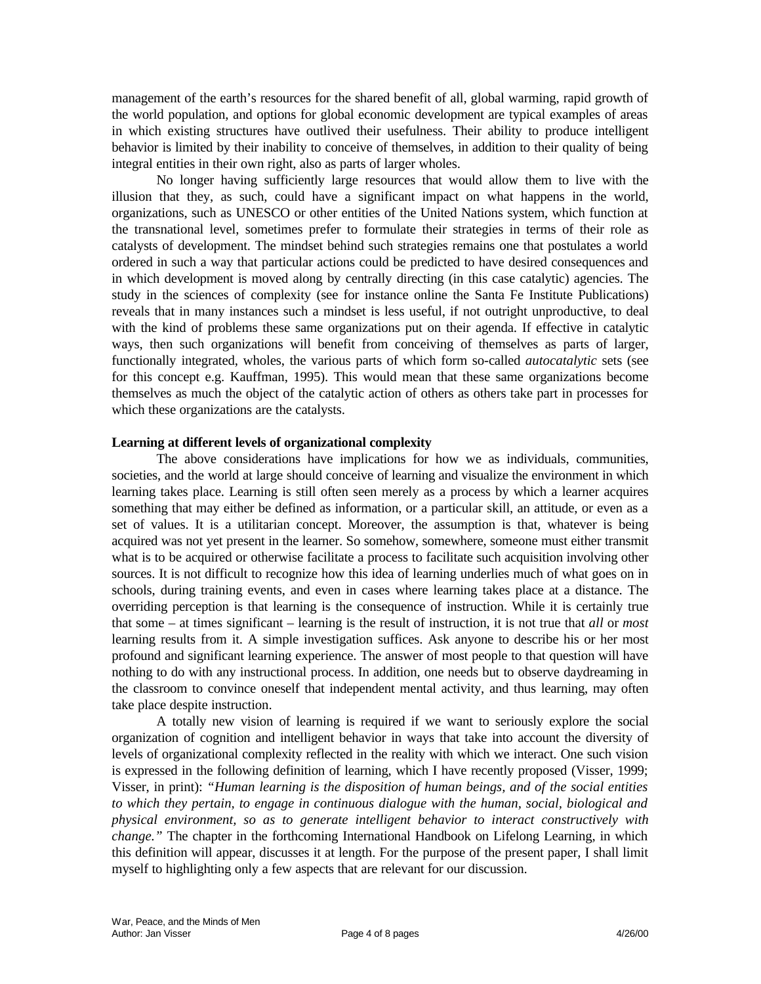management of the earth's resources for the shared benefit of all, global warming, rapid growth of the world population, and options for global economic development are typical examples of areas in which existing structures have outlived their usefulness. Their ability to produce intelligent behavior is limited by their inability to conceive of themselves, in addition to their quality of being integral entities in their own right, also as parts of larger wholes.

No longer having sufficiently large resources that would allow them to live with the illusion that they, as such, could have a significant impact on what happens in the world, organizations, such as UNESCO or other entities of the United Nations system, which function at the transnational level, sometimes prefer to formulate their strategies in terms of their role as catalysts of development. The mindset behind such strategies remains one that postulates a world ordered in such a way that particular actions could be predicted to have desired consequences and in which development is moved along by centrally directing (in this case catalytic) agencies. The study in the sciences of complexity (see for instance online the Santa Fe Institute Publications) reveals that in many instances such a mindset is less useful, if not outright unproductive, to deal with the kind of problems these same organizations put on their agenda. If effective in catalytic ways, then such organizations will benefit from conceiving of themselves as parts of larger, functionally integrated, wholes, the various parts of which form so-called *autocatalytic* sets (see for this concept e.g. Kauffman, 1995). This would mean that these same organizations become themselves as much the object of the catalytic action of others as others take part in processes for which these organizations are the catalysts.

#### **Learning at different levels of organizational complexity**

The above considerations have implications for how we as individuals, communities, societies, and the world at large should conceive of learning and visualize the environment in which learning takes place. Learning is still often seen merely as a process by which a learner acquires something that may either be defined as information, or a particular skill, an attitude, or even as a set of values. It is a utilitarian concept. Moreover, the assumption is that, whatever is being acquired was not yet present in the learner. So somehow, somewhere, someone must either transmit what is to be acquired or otherwise facilitate a process to facilitate such acquisition involving other sources. It is not difficult to recognize how this idea of learning underlies much of what goes on in schools, during training events, and even in cases where learning takes place at a distance. The overriding perception is that learning is the consequence of instruction. While it is certainly true that some – at times significant – learning is the result of instruction, it is not true that *all* or *most* learning results from it. A simple investigation suffices. Ask anyone to describe his or her most profound and significant learning experience. The answer of most people to that question will have nothing to do with any instructional process. In addition, one needs but to observe daydreaming in the classroom to convince oneself that independent mental activity, and thus learning, may often take place despite instruction.

A totally new vision of learning is required if we want to seriously explore the social organization of cognition and intelligent behavior in ways that take into account the diversity of levels of organizational complexity reflected in the reality with which we interact. One such vision is expressed in the following definition of learning, which I have recently proposed (Visser, 1999; Visser, in print): *"Human learning is the disposition of human beings, and of the social entities to which they pertain, to engage in continuous dialogue with the human, social, biological and physical environment, so as to generate intelligent behavior to interact constructively with change."* The chapter in the forthcoming International Handbook on Lifelong Learning, in which this definition will appear, discusses it at length. For the purpose of the present paper, I shall limit myself to highlighting only a few aspects that are relevant for our discussion.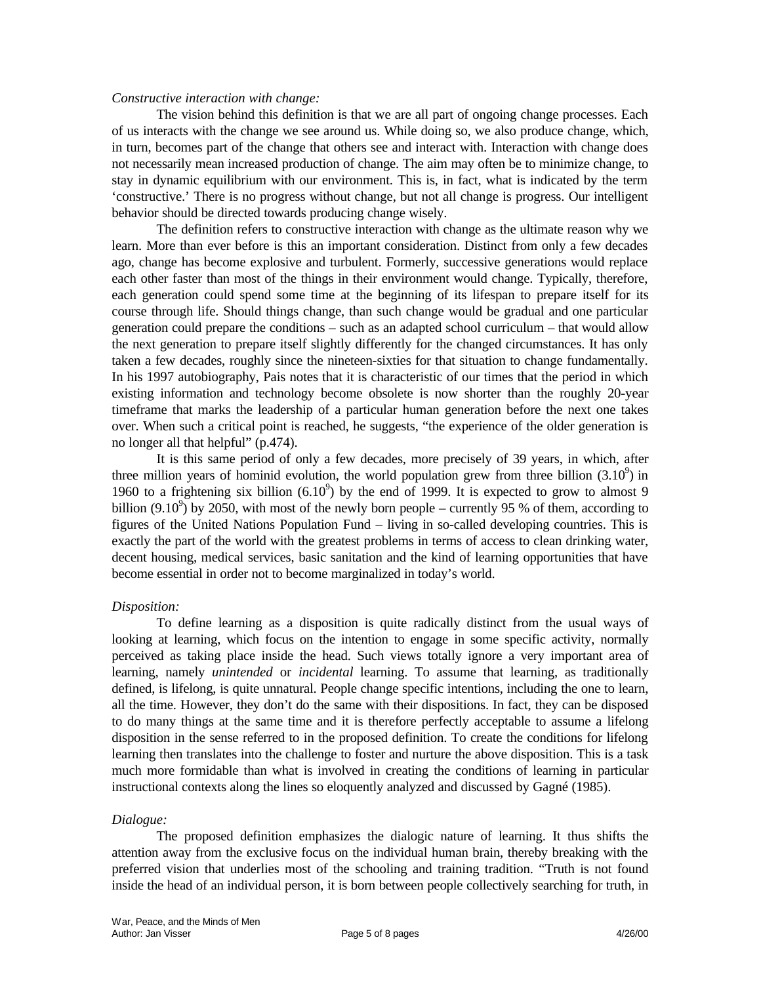#### *Constructive interaction with change:*

The vision behind this definition is that we are all part of ongoing change processes. Each of us interacts with the change we see around us. While doing so, we also produce change, which, in turn, becomes part of the change that others see and interact with. Interaction with change does not necessarily mean increased production of change. The aim may often be to minimize change, to stay in dynamic equilibrium with our environment. This is, in fact, what is indicated by the term 'constructive.' There is no progress without change, but not all change is progress. Our intelligent behavior should be directed towards producing change wisely.

The definition refers to constructive interaction with change as the ultimate reason why we learn. More than ever before is this an important consideration. Distinct from only a few decades ago, change has become explosive and turbulent. Formerly, successive generations would replace each other faster than most of the things in their environment would change. Typically, therefore, each generation could spend some time at the beginning of its lifespan to prepare itself for its course through life. Should things change, than such change would be gradual and one particular generation could prepare the conditions – such as an adapted school curriculum – that would allow the next generation to prepare itself slightly differently for the changed circumstances. It has only taken a few decades, roughly since the nineteen-sixties for that situation to change fundamentally. In his 1997 autobiography, Pais notes that it is characteristic of our times that the period in which existing information and technology become obsolete is now shorter than the roughly 20-year timeframe that marks the leadership of a particular human generation before the next one takes over. When such a critical point is reached, he suggests, "the experience of the older generation is no longer all that helpful" (p.474).

It is this same period of only a few decades, more precisely of 39 years, in which, after three million years of hominid evolution, the world population grew from three billion  $(3.10^9)$  in 1960 to a frightening six billion  $(6.10^9)$  by the end of 1999. It is expected to grow to almost 9 billion  $(9.10^9)$  by 2050, with most of the newly born people – currently 95 % of them, according to figures of the United Nations Population Fund – living in so-called developing countries. This is exactly the part of the world with the greatest problems in terms of access to clean drinking water, decent housing, medical services, basic sanitation and the kind of learning opportunities that have become essential in order not to become marginalized in today's world.

#### *Disposition:*

To define learning as a disposition is quite radically distinct from the usual ways of looking at learning, which focus on the intention to engage in some specific activity, normally perceived as taking place inside the head. Such views totally ignore a very important area of learning, namely *unintended* or *incidental* learning. To assume that learning, as traditionally defined, is lifelong, is quite unnatural. People change specific intentions, including the one to learn, all the time. However, they don't do the same with their dispositions. In fact, they can be disposed to do many things at the same time and it is therefore perfectly acceptable to assume a lifelong disposition in the sense referred to in the proposed definition. To create the conditions for lifelong learning then translates into the challenge to foster and nurture the above disposition. This is a task much more formidable than what is involved in creating the conditions of learning in particular instructional contexts along the lines so eloquently analyzed and discussed by Gagné (1985).

#### *Dialogue:*

The proposed definition emphasizes the dialogic nature of learning. It thus shifts the attention away from the exclusive focus on the individual human brain, thereby breaking with the preferred vision that underlies most of the schooling and training tradition. "Truth is not found inside the head of an individual person, it is born between people collectively searching for truth, in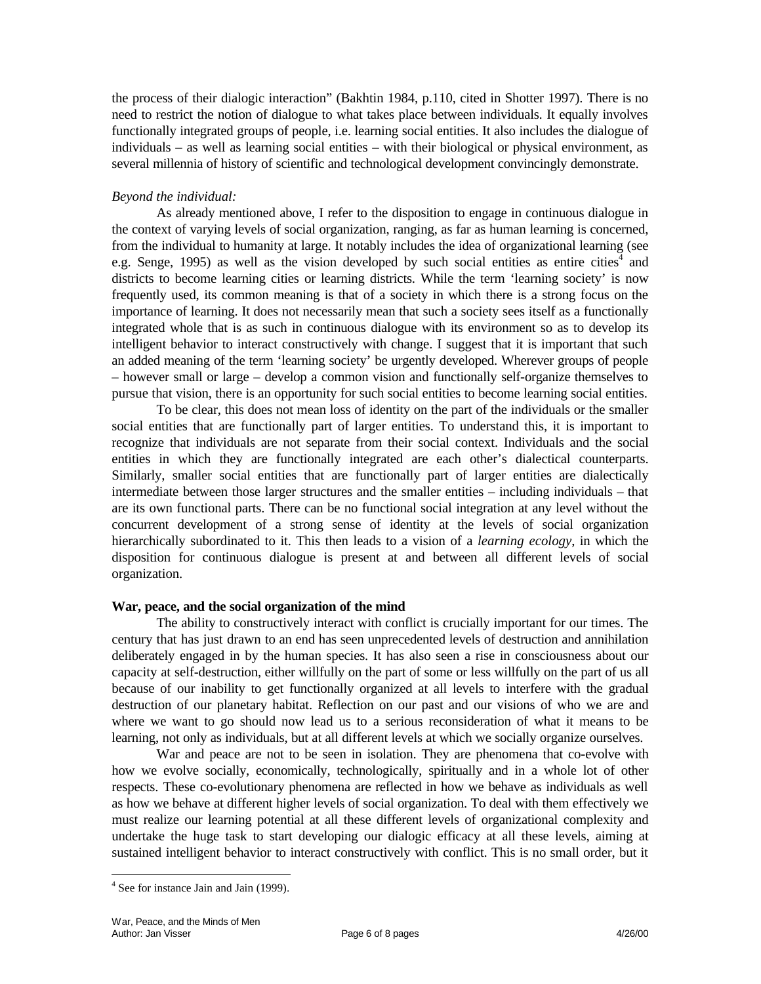the process of their dialogic interaction" (Bakhtin 1984, p.110, cited in Shotter 1997). There is no need to restrict the notion of dialogue to what takes place between individuals. It equally involves functionally integrated groups of people, i.e. learning social entities. It also includes the dialogue of individuals – as well as learning social entities – with their biological or physical environment, as several millennia of history of scientific and technological development convincingly demonstrate.

## *Beyond the individual:*

As already mentioned above, I refer to the disposition to engage in continuous dialogue in the context of varying levels of social organization, ranging, as far as human learning is concerned, from the individual to humanity at large. It notably includes the idea of organizational learning (see e.g. Senge, 1995) as well as the vision developed by such social entities as entire cities<sup>4</sup> and districts to become learning cities or learning districts. While the term 'learning society' is now frequently used, its common meaning is that of a society in which there is a strong focus on the importance of learning. It does not necessarily mean that such a society sees itself as a functionally integrated whole that is as such in continuous dialogue with its environment so as to develop its intelligent behavior to interact constructively with change. I suggest that it is important that such an added meaning of the term 'learning society' be urgently developed. Wherever groups of people – however small or large – develop a common vision and functionally self-organize themselves to pursue that vision, there is an opportunity for such social entities to become learning social entities.

To be clear, this does not mean loss of identity on the part of the individuals or the smaller social entities that are functionally part of larger entities. To understand this, it is important to recognize that individuals are not separate from their social context. Individuals and the social entities in which they are functionally integrated are each other's dialectical counterparts. Similarly, smaller social entities that are functionally part of larger entities are dialectically intermediate between those larger structures and the smaller entities – including individuals – that are its own functional parts. There can be no functional social integration at any level without the concurrent development of a strong sense of identity at the levels of social organization hierarchically subordinated to it. This then leads to a vision of a *learning ecology*, in which the disposition for continuous dialogue is present at and between all different levels of social organization.

#### **War, peace, and the social organization of the mind**

The ability to constructively interact with conflict is crucially important for our times. The century that has just drawn to an end has seen unprecedented levels of destruction and annihilation deliberately engaged in by the human species. It has also seen a rise in consciousness about our capacity at self-destruction, either willfully on the part of some or less willfully on the part of us all because of our inability to get functionally organized at all levels to interfere with the gradual destruction of our planetary habitat. Reflection on our past and our visions of who we are and where we want to go should now lead us to a serious reconsideration of what it means to be learning, not only as individuals, but at all different levels at which we socially organize ourselves.

War and peace are not to be seen in isolation. They are phenomena that co-evolve with how we evolve socially, economically, technologically, spiritually and in a whole lot of other respects. These co-evolutionary phenomena are reflected in how we behave as individuals as well as how we behave at different higher levels of social organization. To deal with them effectively we must realize our learning potential at all these different levels of organizational complexity and undertake the huge task to start developing our dialogic efficacy at all these levels, aiming at sustained intelligent behavior to interact constructively with conflict. This is no small order, but it

 $\overline{a}$ 

<sup>&</sup>lt;sup>4</sup> See for instance Jain and Jain (1999).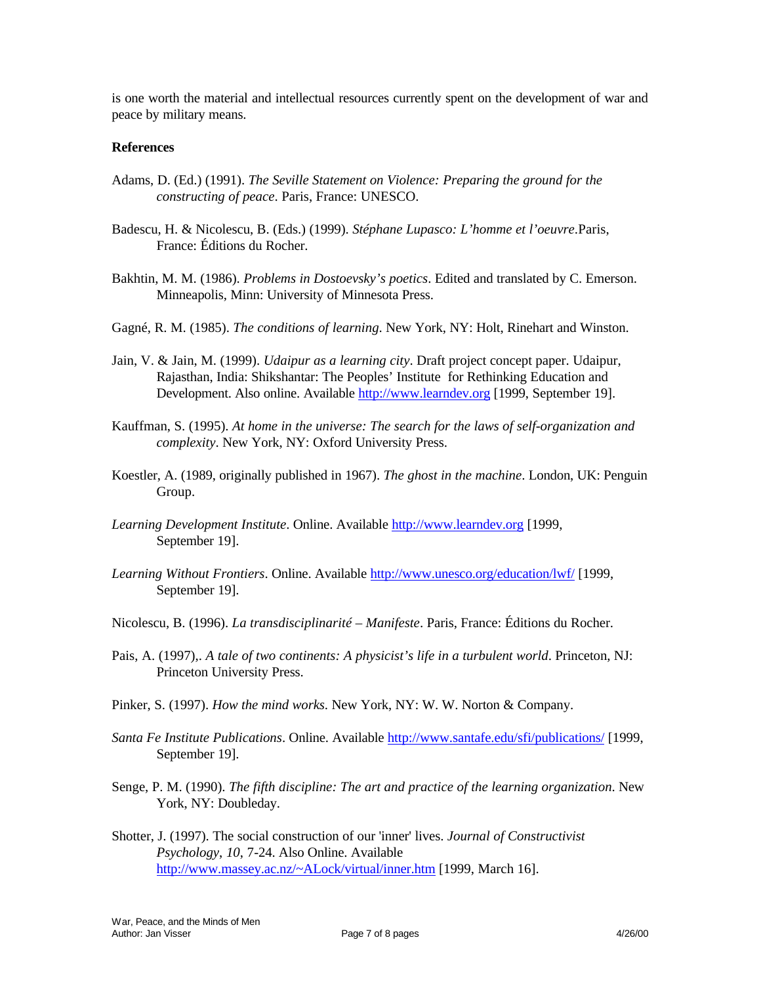is one worth the material and intellectual resources currently spent on the development of war and peace by military means.

#### **References**

- Adams, D. (Ed.) (1991). *The Seville Statement on Violence: Preparing the ground for the constructing of peace*. Paris, France: UNESCO.
- Badescu, H. & Nicolescu, B. (Eds.) (1999). *Stéphane Lupasco: L'homme et l'oeuvre*.Paris, France: Éditions du Rocher.
- Bakhtin, M. M. (1986). *Problems in Dostoevsky's poetics*. Edited and translated by C. Emerson. Minneapolis, Minn: University of Minnesota Press.
- Gagné, R. M. (1985). *The conditions of learning*. New York, NY: Holt, Rinehart and Winston.
- Jain, V. & Jain, M. (1999). *Udaipur as a learning city*. Draft project concept paper. Udaipur, Rajasthan, India: Shikshantar: The Peoples' Institute for Rethinking Education and Development. Also online. Available http://www.learndev.org [1999, September 19].
- Kauffman, S. (1995). *At home in the universe: The search for the laws of self-organization and complexity*. New York, NY: Oxford University Press.
- Koestler, A. (1989, originally published in 1967). *The ghost in the machine*. London, UK: Penguin Group.
- *Learning Development Institute*. Online. Available http://www.learndev.org [1999, September 19].
- *Learning Without Frontiers*. Online. Available http://www.unesco.org/education/lwf/ [1999, September 19].
- Nicolescu, B. (1996). *La transdisciplinarité Manifeste*. Paris, France: Éditions du Rocher.
- Pais, A. (1997),. *A tale of two continents: A physicist's life in a turbulent world*. Princeton, NJ: Princeton University Press.
- Pinker, S. (1997). *How the mind works*. New York, NY: W. W. Norton & Company.
- *Santa Fe Institute Publications*. Online. Available http://www.santafe.edu/sfi/publications/ [1999, September 19].
- Senge, P. M. (1990). *The fifth discipline: The art and practice of the learning organization*. New York, NY: Doubleday.
- Shotter, J. (1997). The social construction of our 'inner' lives. *Journal of Constructivist Psychology*, *10*, 7-24. Also Online. Available http://www.massey.ac.nz/~ALock/virtual/inner.htm [1999, March 16].